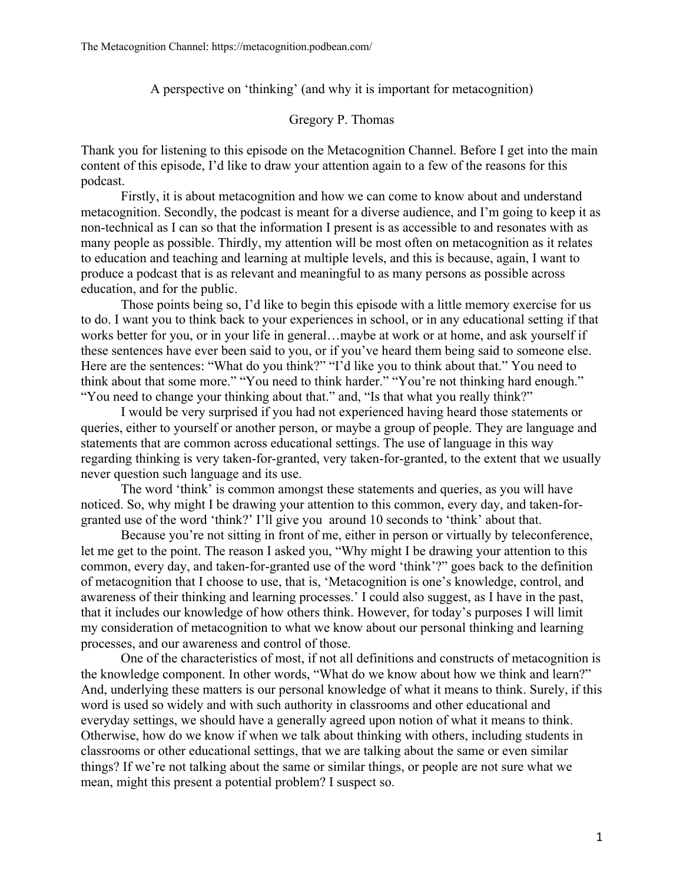A perspective on 'thinking' (and why it is important for metacognition)

## Gregory P. Thomas

Thank you for listening to this episode on the Metacognition Channel. Before I get into the main content of this episode, I'd like to draw your attention again to a few of the reasons for this podcast.

Firstly, it is about metacognition and how we can come to know about and understand metacognition. Secondly, the podcast is meant for a diverse audience, and I'm going to keep it as non-technical as I can so that the information I present is as accessible to and resonates with as many people as possible. Thirdly, my attention will be most often on metacognition as it relates to education and teaching and learning at multiple levels, and this is because, again, I want to produce a podcast that is as relevant and meaningful to as many persons as possible across education, and for the public.

Those points being so, I'd like to begin this episode with a little memory exercise for us to do. I want you to think back to your experiences in school, or in any educational setting if that works better for you, or in your life in general…maybe at work or at home, and ask yourself if these sentences have ever been said to you, or if you've heard them being said to someone else. Here are the sentences: "What do you think?" "I'd like you to think about that." You need to think about that some more." "You need to think harder." "You're not thinking hard enough." "You need to change your thinking about that." and, "Is that what you really think?"

I would be very surprised if you had not experienced having heard those statements or queries, either to yourself or another person, or maybe a group of people. They are language and statements that are common across educational settings. The use of language in this way regarding thinking is very taken-for-granted, very taken-for-granted, to the extent that we usually never question such language and its use.

The word 'think' is common amongst these statements and queries, as you will have noticed. So, why might I be drawing your attention to this common, every day, and taken-forgranted use of the word 'think?' I'll give you around 10 seconds to 'think' about that.

Because you're not sitting in front of me, either in person or virtually by teleconference, let me get to the point. The reason I asked you, "Why might I be drawing your attention to this common, every day, and taken-for-granted use of the word 'think'?" goes back to the definition of metacognition that I choose to use, that is, 'Metacognition is one's knowledge, control, and awareness of their thinking and learning processes.' I could also suggest, as I have in the past, that it includes our knowledge of how others think. However, for today's purposes I will limit my consideration of metacognition to what we know about our personal thinking and learning processes, and our awareness and control of those.

One of the characteristics of most, if not all definitions and constructs of metacognition is the knowledge component. In other words, "What do we know about how we think and learn?" And, underlying these matters is our personal knowledge of what it means to think. Surely, if this word is used so widely and with such authority in classrooms and other educational and everyday settings, we should have a generally agreed upon notion of what it means to think. Otherwise, how do we know if when we talk about thinking with others, including students in classrooms or other educational settings, that we are talking about the same or even similar things? If we're not talking about the same or similar things, or people are not sure what we mean, might this present a potential problem? I suspect so.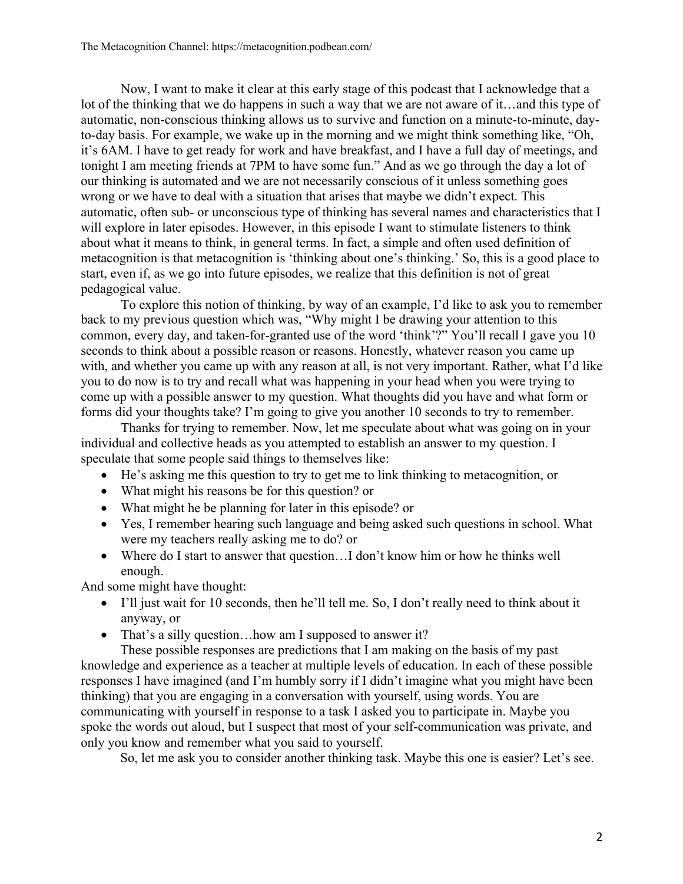Now, I want to make it clear at this early stage of this podcast that I acknowledge that a lot of the thinking that we do happens in such a way that we are not aware of it…and this type of automatic, non-conscious thinking allows us to survive and function on a minute-to-minute, dayto-day basis. For example, we wake up in the morning and we might think something like, "Oh, it's 6AM. I have to get ready for work and have breakfast, and I have a full day of meetings, and tonight I am meeting friends at 7PM to have some fun." And as we go through the day a lot of our thinking is automated and we are not necessarily conscious of it unless something goes wrong or we have to deal with a situation that arises that maybe we didn't expect. This automatic, often sub- or unconscious type of thinking has several names and characteristics that I will explore in later episodes. However, in this episode I want to stimulate listeners to think about what it means to think, in general terms. In fact, a simple and often used definition of metacognition is that metacognition is 'thinking about one's thinking.' So, this is a good place to start, even if, as we go into future episodes, we realize that this definition is not of great pedagogical value.

To explore this notion of thinking, by way of an example, I'd like to ask you to remember back to my previous question which was, "Why might I be drawing your attention to this common, every day, and taken-for-granted use of the word 'think'?" You'll recall I gave you 10 seconds to think about a possible reason or reasons. Honestly, whatever reason you came up with, and whether you came up with any reason at all, is not very important. Rather, what I'd like you to do now is to try and recall what was happening in your head when you were trying to come up with a possible answer to my question. What thoughts did you have and what form or forms did your thoughts take? I'm going to give you another 10 seconds to try to remember.

Thanks for trying to remember. Now, let me speculate about what was going on in your individual and collective heads as you attempted to establish an answer to my question. I speculate that some people said things to themselves like:

- He's asking me this question to try to get me to link thinking to metacognition, or
- What might his reasons be for this question? or
- What might he be planning for later in this episode? or
- Yes, I remember hearing such language and being asked such questions in school. What were my teachers really asking me to do? or
- Where do I start to answer that question...I don't know him or how he thinks well enough.

And some might have thought:

- I'll just wait for 10 seconds, then he'll tell me. So, I don't really need to think about it anyway, or
- That's a silly question... how am I supposed to answer it?

These possible responses are predictions that I am making on the basis of my past knowledge and experience as a teacher at multiple levels of education. In each of these possible responses I have imagined (and I'm humbly sorry if I didn't imagine what you might have been thinking) that you are engaging in a conversation with yourself, using words. You are communicating with yourself in response to a task I asked you to participate in. Maybe you spoke the words out aloud, but I suspect that most of your self-communication was private, and only you know and remember what you said to yourself.

So, let me ask you to consider another thinking task. Maybe this one is easier? Let's see.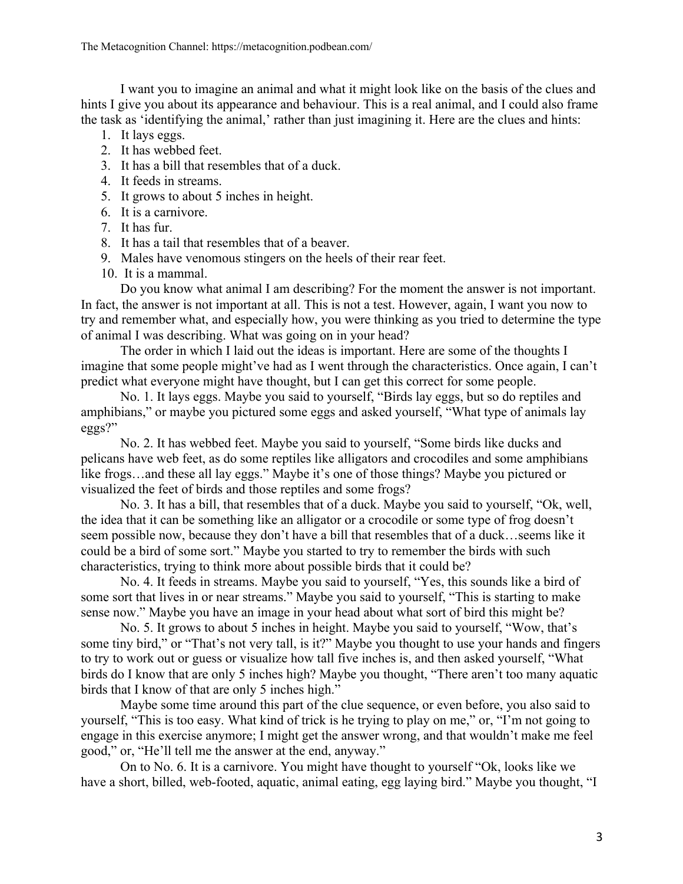I want you to imagine an animal and what it might look like on the basis of the clues and hints I give you about its appearance and behaviour. This is a real animal, and I could also frame the task as 'identifying the animal,' rather than just imagining it. Here are the clues and hints:

- 1. It lays eggs.
- 2. It has webbed feet.
- 3. It has a bill that resembles that of a duck.
- 4. It feeds in streams.
- 5. It grows to about 5 inches in height.
- 6. It is a carnivore.
- 7. It has fur.
- 8. It has a tail that resembles that of a beaver.
- 9. Males have venomous stingers on the heels of their rear feet.
- 10. It is a mammal.

Do you know what animal I am describing? For the moment the answer is not important. In fact, the answer is not important at all. This is not a test. However, again, I want you now to try and remember what, and especially how, you were thinking as you tried to determine the type of animal I was describing. What was going on in your head?

The order in which I laid out the ideas is important. Here are some of the thoughts I imagine that some people might've had as I went through the characteristics. Once again, I can't predict what everyone might have thought, but I can get this correct for some people.

No. 1. It lays eggs. Maybe you said to yourself, "Birds lay eggs, but so do reptiles and amphibians," or maybe you pictured some eggs and asked yourself, "What type of animals lay eggs?"

No. 2. It has webbed feet. Maybe you said to yourself, "Some birds like ducks and pelicans have web feet, as do some reptiles like alligators and crocodiles and some amphibians like frogs…and these all lay eggs." Maybe it's one of those things? Maybe you pictured or visualized the feet of birds and those reptiles and some frogs?

No. 3. It has a bill, that resembles that of a duck. Maybe you said to yourself, "Ok, well, the idea that it can be something like an alligator or a crocodile or some type of frog doesn't seem possible now, because they don't have a bill that resembles that of a duck…seems like it could be a bird of some sort." Maybe you started to try to remember the birds with such characteristics, trying to think more about possible birds that it could be?

No. 4. It feeds in streams. Maybe you said to yourself, "Yes, this sounds like a bird of some sort that lives in or near streams." Maybe you said to yourself, "This is starting to make sense now." Maybe you have an image in your head about what sort of bird this might be?

No. 5. It grows to about 5 inches in height. Maybe you said to yourself, "Wow, that's some tiny bird," or "That's not very tall, is it?" Maybe you thought to use your hands and fingers to try to work out or guess or visualize how tall five inches is, and then asked yourself, "What birds do I know that are only 5 inches high? Maybe you thought, "There aren't too many aquatic birds that I know of that are only 5 inches high."

Maybe some time around this part of the clue sequence, or even before, you also said to yourself, "This is too easy. What kind of trick is he trying to play on me," or, "I'm not going to engage in this exercise anymore; I might get the answer wrong, and that wouldn't make me feel good," or, "He'll tell me the answer at the end, anyway."

On to No. 6. It is a carnivore. You might have thought to yourself "Ok, looks like we have a short, billed, web-footed, aquatic, animal eating, egg laying bird." Maybe you thought, "I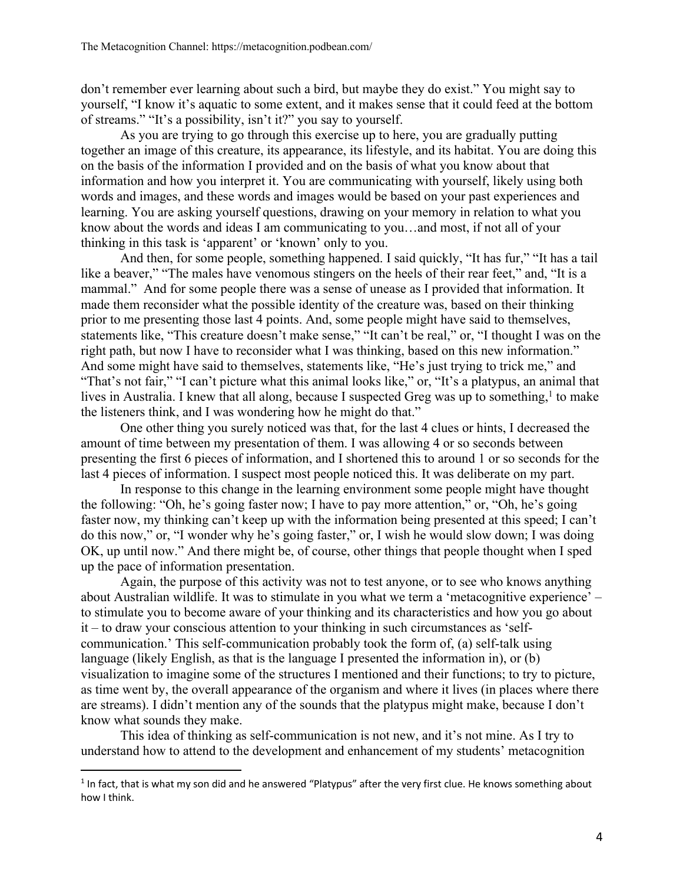don't remember ever learning about such a bird, but maybe they do exist." You might say to yourself, "I know it's aquatic to some extent, and it makes sense that it could feed at the bottom of streams." "It's a possibility, isn't it?" you say to yourself.

As you are trying to go through this exercise up to here, you are gradually putting together an image of this creature, its appearance, its lifestyle, and its habitat. You are doing this on the basis of the information I provided and on the basis of what you know about that information and how you interpret it. You are communicating with yourself, likely using both words and images, and these words and images would be based on your past experiences and learning. You are asking yourself questions, drawing on your memory in relation to what you know about the words and ideas I am communicating to you…and most, if not all of your thinking in this task is 'apparent' or 'known' only to you.

And then, for some people, something happened. I said quickly, "It has fur," "It has a tail like a beaver," "The males have venomous stingers on the heels of their rear feet," and, "It is a mammal." And for some people there was a sense of unease as I provided that information. It made them reconsider what the possible identity of the creature was, based on their thinking prior to me presenting those last 4 points. And, some people might have said to themselves, statements like, "This creature doesn't make sense," "It can't be real," or, "I thought I was on the right path, but now I have to reconsider what I was thinking, based on this new information." And some might have said to themselves, statements like, "He's just trying to trick me," and "That's not fair," "I can't picture what this animal looks like," or, "It's a platypus, an animal that lives in Australia. I knew that all along, because I suspected Greg was up to something,<sup>1</sup> to make the listeners think, and I was wondering how he might do that."

One other thing you surely noticed was that, for the last 4 clues or hints, I decreased the amount of time between my presentation of them. I was allowing 4 or so seconds between presenting the first 6 pieces of information, and I shortened this to around 1 or so seconds for the last 4 pieces of information. I suspect most people noticed this. It was deliberate on my part.

In response to this change in the learning environment some people might have thought the following: "Oh, he's going faster now; I have to pay more attention," or, "Oh, he's going faster now, my thinking can't keep up with the information being presented at this speed; I can't do this now," or, "I wonder why he's going faster," or, I wish he would slow down; I was doing OK, up until now." And there might be, of course, other things that people thought when I sped up the pace of information presentation.

Again, the purpose of this activity was not to test anyone, or to see who knows anything about Australian wildlife. It was to stimulate in you what we term a 'metacognitive experience' – to stimulate you to become aware of your thinking and its characteristics and how you go about it – to draw your conscious attention to your thinking in such circumstances as 'selfcommunication.' This self-communication probably took the form of, (a) self-talk using language (likely English, as that is the language I presented the information in), or (b) visualization to imagine some of the structures I mentioned and their functions; to try to picture, as time went by, the overall appearance of the organism and where it lives (in places where there are streams). I didn't mention any of the sounds that the platypus might make, because I don't know what sounds they make.

This idea of thinking as self-communication is not new, and it's not mine. As I try to understand how to attend to the development and enhancement of my students' metacognition

 $<sup>1</sup>$  In fact, that is what my son did and he answered "Platypus" after the very first clue. He knows something about</sup> how I think.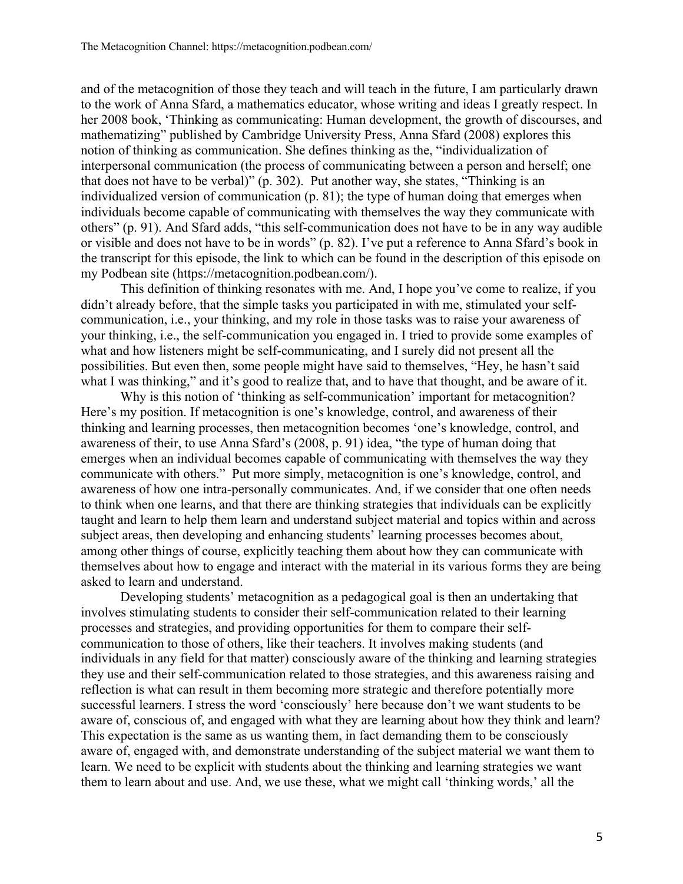and of the metacognition of those they teach and will teach in the future, I am particularly drawn to the work of Anna Sfard, a mathematics educator, whose writing and ideas I greatly respect. In her 2008 book, 'Thinking as communicating: Human development, the growth of discourses, and mathematizing" published by Cambridge University Press, Anna Sfard (2008) explores this notion of thinking as communication. She defines thinking as the, "individualization of interpersonal communication (the process of communicating between a person and herself; one that does not have to be verbal)" (p. 302). Put another way, she states, "Thinking is an individualized version of communication (p. 81); the type of human doing that emerges when individuals become capable of communicating with themselves the way they communicate with others" (p. 91). And Sfard adds, "this self-communication does not have to be in any way audible or visible and does not have to be in words" (p. 82). I've put a reference to Anna Sfard's book in the transcript for this episode, the link to which can be found in the description of this episode on my Podbean site (https://metacognition.podbean.com/).

This definition of thinking resonates with me. And, I hope you've come to realize, if you didn't already before, that the simple tasks you participated in with me, stimulated your selfcommunication, i.e., your thinking, and my role in those tasks was to raise your awareness of your thinking, i.e., the self-communication you engaged in. I tried to provide some examples of what and how listeners might be self-communicating, and I surely did not present all the possibilities. But even then, some people might have said to themselves, "Hey, he hasn't said what I was thinking," and it's good to realize that, and to have that thought, and be aware of it.

Why is this notion of 'thinking as self-communication' important for metacognition? Here's my position. If metacognition is one's knowledge, control, and awareness of their thinking and learning processes, then metacognition becomes 'one's knowledge, control, and awareness of their, to use Anna Sfard's (2008, p. 91) idea, "the type of human doing that emerges when an individual becomes capable of communicating with themselves the way they communicate with others." Put more simply, metacognition is one's knowledge, control, and awareness of how one intra-personally communicates. And, if we consider that one often needs to think when one learns, and that there are thinking strategies that individuals can be explicitly taught and learn to help them learn and understand subject material and topics within and across subject areas, then developing and enhancing students' learning processes becomes about, among other things of course, explicitly teaching them about how they can communicate with themselves about how to engage and interact with the material in its various forms they are being asked to learn and understand.

Developing students' metacognition as a pedagogical goal is then an undertaking that involves stimulating students to consider their self-communication related to their learning processes and strategies, and providing opportunities for them to compare their selfcommunication to those of others, like their teachers. It involves making students (and individuals in any field for that matter) consciously aware of the thinking and learning strategies they use and their self-communication related to those strategies, and this awareness raising and reflection is what can result in them becoming more strategic and therefore potentially more successful learners. I stress the word 'consciously' here because don't we want students to be aware of, conscious of, and engaged with what they are learning about how they think and learn? This expectation is the same as us wanting them, in fact demanding them to be consciously aware of, engaged with, and demonstrate understanding of the subject material we want them to learn. We need to be explicit with students about the thinking and learning strategies we want them to learn about and use. And, we use these, what we might call 'thinking words,' all the